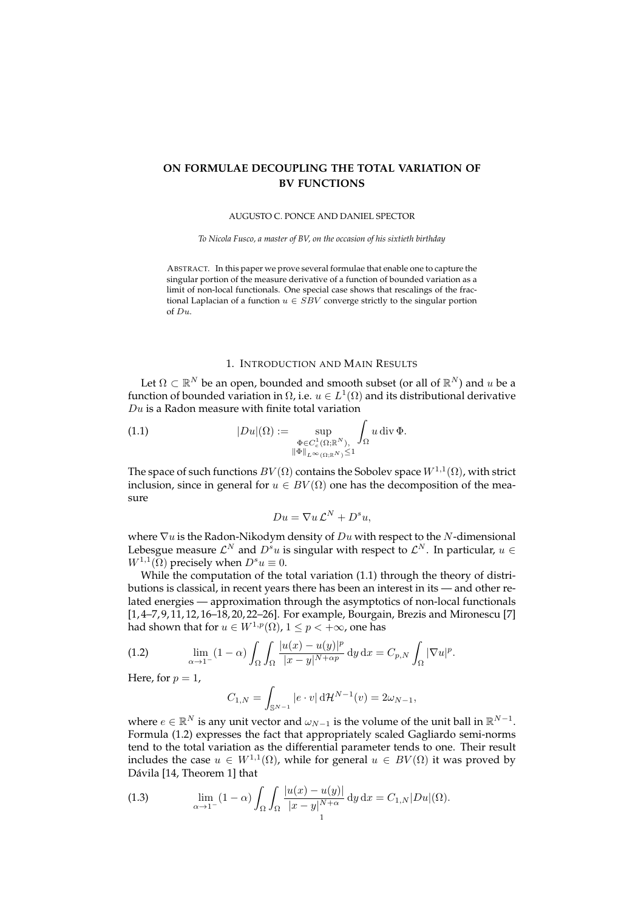# **ON FORMULAE DECOUPLING THE TOTAL VARIATION OF BV FUNCTIONS**

### AUGUSTO C. PONCE AND DANIEL SPECTOR

*To Nicola Fusco, a master of BV, on the occasion of his sixtieth birthday*

ABSTRACT. In this paper we prove several formulae that enable one to capture the singular portion of the measure derivative of a function of bounded variation as a limit of non-local functionals. One special case shows that rescalings of the fractional Laplacian of a function  $u \in SBV$  converge strictly to the singular portion of Du.

# 1. INTRODUCTION AND MAIN RESULTS

Let  $\Omega \subset \mathbb{R}^N$  be an open, bounded and smooth subset (or all of  $\mathbb{R}^N$ ) and  $u$  be a function of bounded variation in  $\Omega$ , i.e.  $u \in L^1(\Omega)$  and its distributional derivative  $Du$  is a Radon measure with finite total variation

(1.1) 
$$
|Du|(\Omega) := \sup_{\substack{\Phi \in C_c^1(\Omega; \mathbb{R}^N), \\ \|\Phi\|_{L^{\infty}(\Omega; \mathbb{R}^N)} \leq 1}} \int_{\Omega} u \, \mathrm{div} \, \Phi.
$$

The space of such functions  $BV(\Omega)$  contains the Sobolev space  $W^{1,1}(\Omega)$ , with strict inclusion, since in general for  $u \in BV(\Omega)$  one has the decomposition of the measure

$$
Du = \nabla u \mathcal{L}^N + D^s u,
$$

where  $\nabla u$  is the Radon-Nikodym density of  $Du$  with respect to the N-dimensional Lebesgue measure  $\mathcal{L}^N$  and  $D^su$  is singular with respect to  $\mathcal{L}^N.$  In particular,  $u\in$  $W^{1,1}(\bar{\Omega})$  precisely when  $D^s u \equiv 0$ .

While the computation of the total variation (1.1) through the theory of distributions is classical, in recent years there has been an interest in its — and other related energies — approximation through the asymptotics of non-local functionals [1, 4–7, 9, 11, 12, 16–18, 20, 22–26]. For example, Bourgain, Brezis and Mironescu [7] had shown that for  $u \in W^{1,p}(\Omega)$ ,  $1 \leq p < +\infty$ , one has

(1.2) 
$$
\lim_{\alpha \to 1^-} (1 - \alpha) \int_{\Omega} \int_{\Omega} \frac{|u(x) - u(y)|^p}{|x - y|^{N + \alpha p}} dy dx = C_{p,N} \int_{\Omega} |\nabla u|^p.
$$

Here, for  $p = 1$ ,

$$
C_{1,N} = \int_{\mathbb{S}^{N-1}} |e \cdot v| \, d\mathcal{H}^{N-1}(v) = 2\omega_{N-1},
$$

where  $e \in \mathbb{R}^N$  is any unit vector and  $\omega_{N-1}$  is the volume of the unit ball in  $\mathbb{R}^{N-1}$ . Formula (1.2) expresses the fact that appropriately scaled Gagliardo semi-norms tend to the total variation as the differential parameter tends to one. Their result includes the case  $u \in W^{1,1}(\Omega)$ , while for general  $u \in BV(\Omega)$  it was proved by Dávila [14, Theorem 1] that

(1.3) 
$$
\lim_{\alpha \to 1^{-}} (1 - \alpha) \int_{\Omega} \int_{\Omega} \frac{|u(x) - u(y)|}{|x - y|^{N + \alpha}} dy dx = C_{1,N} |Du|(\Omega).
$$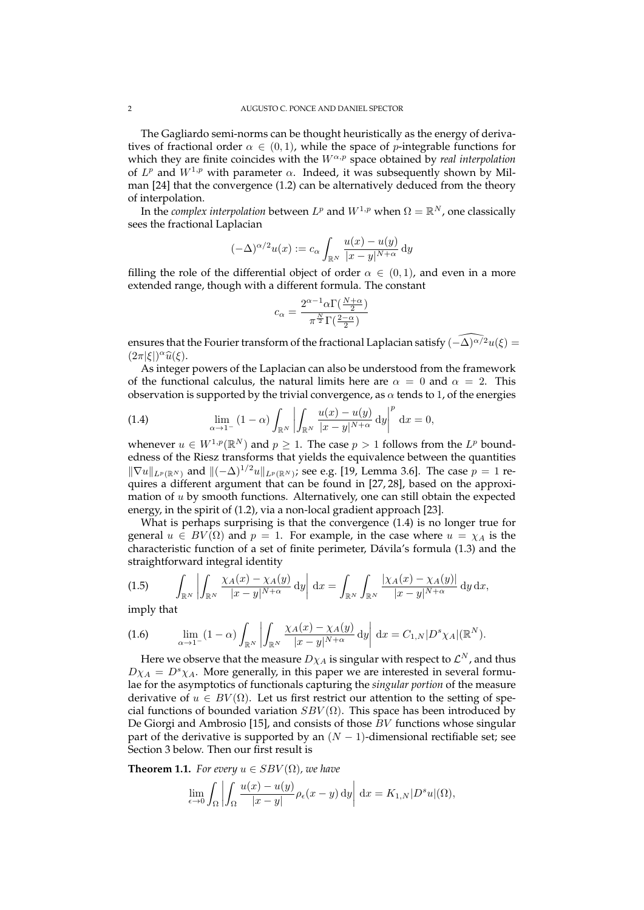The Gagliardo semi-norms can be thought heuristically as the energy of derivatives of fractional order  $\alpha \in (0,1)$ , while the space of p-integrable functions for which they are finite coincides with the  $W^{\alpha,p}$  space obtained by *real interpolation* of  $L^p$  and  $W^{1,p}$  with parameter  $\alpha$ . Indeed, it was subsequently shown by Milman [24] that the convergence (1.2) can be alternatively deduced from the theory of interpolation.

In the *complex interpolation* between  $L^p$  and  $W^{1,p}$  when  $\Omega = \mathbb{R}^N$ , one classically sees the fractional Laplacian

$$
(-\Delta)^{\alpha/2}u(x) := c_{\alpha} \int_{\mathbb{R}^N} \frac{u(x) - u(y)}{|x - y|^{N + \alpha}} dy
$$

filling the role of the differential object of order  $\alpha \in (0,1)$ , and even in a more extended range, though with a different formula. The constant

$$
c_{\alpha} = \frac{2^{\alpha - 1} \alpha \Gamma(\frac{N + \alpha}{2})}{\pi^{\frac{N}{2}} \Gamma(\frac{2 - \alpha}{2})}
$$

ensures that the Fourier transform of the fractional Laplacian satisfy  $(-\Delta)^{\alpha/2}u(\xi) =$  $(2\pi|\xi|)^{\alpha}\widehat{u}(\xi).$ <br>As integer

As integer powers of the Laplacian can also be understood from the framework of the functional calculus, the natural limits here are  $\alpha = 0$  and  $\alpha = 2$ . This observation is supported by the trivial convergence, as  $\alpha$  tends to 1, of the energies

(1.4) 
$$
\lim_{\alpha \to 1^{-}} (1 - \alpha) \int_{\mathbb{R}^N} \left| \int_{\mathbb{R}^N} \frac{u(x) - u(y)}{|x - y|^{N + \alpha}} dy \right|^p dx = 0,
$$

whenever  $u \in W^{1,p}(\mathbb{R}^N)$  and  $p \geq 1$ . The case  $p > 1$  follows from the  $L^p$  boundedness of the Riesz transforms that yields the equivalence between the quantities  $\|\nabla u\|_{L^p(\mathbb{R}^N)}$  and  $\|(-\Delta)^{1/2}u\|_{L^p(\mathbb{R}^N)}$ ; see e.g. [19, Lemma 3.6]. The case  $p = 1$  requires a different argument that can be found in [27, 28], based on the approximation of u by smooth functions. Alternatively, one can still obtain the expected energy, in the spirit of (1.2), via a non-local gradient approach [23].

What is perhaps surprising is that the convergence (1.4) is no longer true for general  $u \in BV(\Omega)$  and  $p = 1$ . For example, in the case where  $u = \chi_A$  is the characteristic function of a set of finite perimeter, Dávila's formula (1.3) and the straightforward integral identity

(1.5) 
$$
\int_{\mathbb{R}^N} \left| \int_{\mathbb{R}^N} \frac{\chi_A(x) - \chi_A(y)}{|x - y|^{N + \alpha}} dy \right| dx = \int_{\mathbb{R}^N} \int_{\mathbb{R}^N} \frac{|\chi_A(x) - \chi_A(y)|}{|x - y|^{N + \alpha}} dy dx,
$$

imply that

(1.6) 
$$
\lim_{\alpha \to 1^-} (1 - \alpha) \int_{\mathbb{R}^N} \left| \int_{\mathbb{R}^N} \frac{\chi_A(x) - \chi_A(y)}{|x - y|^{N + \alpha}} dy \right| dx = C_{1,N} |D^s \chi_A|(\mathbb{R}^N).
$$

Here we observe that the measure  $D\chi_A$  is singular with respect to  $\mathcal{L}^N$ , and thus  $D\chi_A = D^s \chi_A$ . More generally, in this paper we are interested in several formulae for the asymptotics of functionals capturing the *singular portion* of the measure derivative of  $u \in BV(\Omega)$ . Let us first restrict our attention to the setting of special functions of bounded variation  $SBV(\Omega)$ . This space has been introduced by De Giorgi and Ambrosio [15], and consists of those BV functions whose singular part of the derivative is supported by an  $(N - 1)$ -dimensional rectifiable set; see Section 3 below. Then our first result is

**Theorem 1.1.** *For every*  $u \in SBV(\Omega)$ *, we have* 

$$
\lim_{\epsilon \to 0} \int_{\Omega} \left| \int_{\Omega} \frac{u(x) - u(y)}{|x - y|} \rho_{\epsilon}(x - y) dy \right| dx = K_{1,N} |D^{s}u|(\Omega),
$$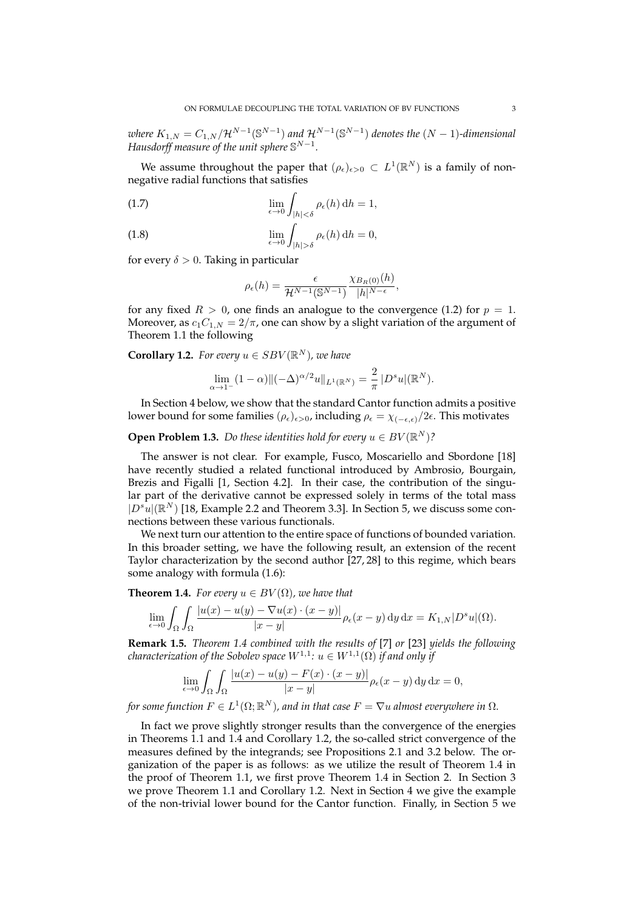$\omega$ here  $K_{1,N}=C_{1,N}/\mathcal{H}^{N-1}(\mathbb{S}^{N-1})$  and  $\mathcal{H}^{N-1}(\mathbb{S}^{N-1})$  denotes the  $(N-1)$ -dimensional *Hausdorff measure of the unit sphere*  $\mathbb{S}^{N-1}$ *.* 

We assume throughout the paper that  $(\rho_{\epsilon})_{\epsilon>0}\subset L^1(\mathbb{R}^N)$  is a family of nonnegative radial functions that satisfies

(1.7) 
$$
\lim_{\epsilon \to 0} \int_{|h| < \delta} \rho_{\epsilon}(h) dh = 1,
$$

(1.8) 
$$
\lim_{\epsilon \to 0} \int_{|h| > \delta} \rho_{\epsilon}(h) dh = 0,
$$

for every  $\delta > 0$ . Taking in particular

$$
\rho_{\epsilon}(h) = \frac{\epsilon}{\mathcal{H}^{N-1}(\mathbb{S}^{N-1})} \frac{\chi_{B_R(0)}(h)}{|h|^{N-\epsilon}},
$$

for any fixed  $R > 0$ , one finds an analogue to the convergence (1.2) for  $p = 1$ . Moreover, as  $c_1C_{1,N} = 2/\pi$ , one can show by a slight variation of the argument of Theorem 1.1 the following

**Corollary 1.2.** For every  $u \in SBV(\mathbb{R}^N)$ , we have

$$
\lim_{\alpha \to 1^{-}} (1 - \alpha) \|(-\Delta)^{\alpha/2} u\|_{L^{1}(\mathbb{R}^{N})} = \frac{2}{\pi} |D^{s} u|(\mathbb{R}^{N}).
$$

In Section 4 below, we show that the standard Cantor function admits a positive lower bound for some families ( $\rho_{\epsilon}$ )<sub> $\epsilon > 0$ </sub>, including  $\rho_{\epsilon} = \chi_{(-\epsilon,\epsilon)}/2\epsilon$ . This motivates

**Open Problem 1.3.** *Do these identities hold for every*  $u \in BV(\mathbb{R}^N)$ ?

The answer is not clear. For example, Fusco, Moscariello and Sbordone [18] have recently studied a related functional introduced by Ambrosio, Bourgain, Brezis and Figalli [1, Section 4.2]. In their case, the contribution of the singular part of the derivative cannot be expressed solely in terms of the total mass  $|D^{s}u|(\mathbb{R}^{N})$  [18, Example 2.2 and Theorem 3.3]. In Section 5, we discuss some connections between these various functionals.

We next turn our attention to the entire space of functions of bounded variation. In this broader setting, we have the following result, an extension of the recent Taylor characterization by the second author [27, 28] to this regime, which bears some analogy with formula (1.6):

**Theorem 1.4.** *For every*  $u \in BV(\Omega)$ *, we have that* 

$$
\lim_{\epsilon \to 0} \int_{\Omega} \int_{\Omega} \frac{|u(x) - u(y) - \nabla u(x) \cdot (x - y)|}{|x - y|} \rho_{\epsilon}(x - y) \, dy \, dx = K_{1,N} |D^s u|(\Omega).
$$

**Remark 1.5.** *Theorem 1.4 combined with the results of* [7] *or* [23] *yields the following*  $\emph{characterization of the Sobolev space $W^{1,1}$: $u\in W^{1,1}(\Omega)$ if and only if}$ 

$$
\lim_{\epsilon \to 0} \int_{\Omega} \int_{\Omega} \frac{|u(x) - u(y) - F(x) \cdot (x - y)|}{|x - y|} \rho_{\epsilon}(x - y) \, dy \, dx = 0,
$$

for some function  $F\in L^1(\Omega;\mathbb{R}^N)$ , and in that case  $F=\nabla u$  almost everywhere in  $\Omega.$ 

In fact we prove slightly stronger results than the convergence of the energies in Theorems 1.1 and 1.4 and Corollary 1.2, the so-called strict convergence of the measures defined by the integrands; see Propositions 2.1 and 3.2 below. The organization of the paper is as follows: as we utilize the result of Theorem 1.4 in the proof of Theorem 1.1, we first prove Theorem 1.4 in Section 2. In Section 3 we prove Theorem 1.1 and Corollary 1.2. Next in Section 4 we give the example of the non-trivial lower bound for the Cantor function. Finally, in Section 5 we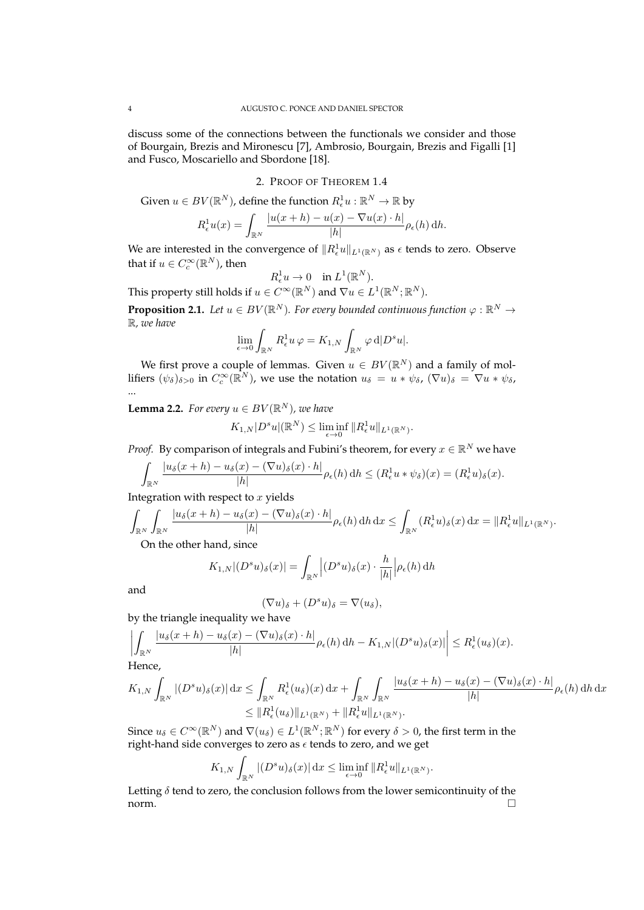discuss some of the connections between the functionals we consider and those of Bourgain, Brezis and Mironescu [7], Ambrosio, Bourgain, Brezis and Figalli [1] and Fusco, Moscariello and Sbordone [18].

# 2. PROOF OF THEOREM 1.4

Given  $u \in BV(\mathbb{R}^N)$ , define the function  $R^1_\epsilon u:\mathbb{R}^N \to \mathbb{R}$  by

$$
R_{\epsilon}^{1}u(x) = \int_{\mathbb{R}^{N}} \frac{|u(x+h) - u(x) - \nabla u(x) \cdot h|}{|h|} \rho_{\epsilon}(h) dh.
$$

We are interested in the convergence of  $\|R_\epsilon^1 u\|_{L^1(\mathbb{R}^N)}$  as  $\epsilon$  tends to zero. Observe that if  $u \in C_c^{\infty}(\mathbb{R}^N)$ , then

$$
R^1_{\epsilon}u \to 0 \quad \text{in } L^1(\mathbb{R}^N).
$$

This property still holds if  $u \in C^{\infty}(\mathbb{R}^N)$  and  $\nabla u \in L^1(\mathbb{R}^N;\mathbb{R}^N)$ .

**Proposition 2.1.** Let  $u \in BV(\mathbb{R}^N)$ . For every bounded continuous function  $\varphi : \mathbb{R}^N \to$ R*, we have*

$$
\lim_{\epsilon \to 0} \int_{\mathbb{R}^N} R_{\epsilon}^1 u \,\varphi = K_{1,N} \int_{\mathbb{R}^N} \varphi \,d|D^s u|.
$$

We first prove a couple of lemmas. Given  $u \in BV(\mathbb{R}^N)$  and a family of mollifiers  $(\psi_{\delta})_{\delta>0}$  in  $C_c^{\infty}(\mathbb{R}^N)$ , we use the notation  $u_{\delta} = u * \psi_{\delta}$ ,  $(\nabla u)_{\delta} = \nabla u * \psi_{\delta}$ , ...

**Lemma 2.2.** For every  $u \in BV(\mathbb{R}^N)$ , we have

$$
K_{1,N}|D^su|(\mathbb{R}^N) \le \liminf_{\epsilon \to 0} ||R^1_{\epsilon}u||_{L^1(\mathbb{R}^N)}.
$$

*Proof.* By comparison of integrals and Fubini's theorem, for every  $x \in \mathbb{R}^N$  we have

$$
\int_{\mathbb{R}^N} \frac{|u_\delta(x+h)-u_\delta(x)-(\nabla u)_\delta(x)\cdot h|}{|h|}\rho_\epsilon(h)\,dh\leq (R_\epsilon^1 u*\psi_\delta)(x)=(R_\epsilon^1 u)_\delta(x).
$$

Integration with respect to  $x$  yields

$$
\int_{\mathbb{R}^N} \int_{\mathbb{R}^N} \frac{|u_\delta(x+h) - u_\delta(x) - (\nabla u)_\delta(x) \cdot h|}{|h|} \rho_\epsilon(h) \, dh \, dx \le \int_{\mathbb{R}^N} (R_\epsilon^1 u)_\delta(x) \, dx = \|R_\epsilon^1 u\|_{L^1(\mathbb{R}^N)}.
$$

On the other hand, since

$$
K_{1,N}|(D^su)_\delta(x)| = \int_{\mathbb{R}^N} |(D^su)_\delta(x) \cdot \frac{h}{|h|} |\rho_\epsilon(h) dh
$$

and

$$
(\nabla u)_{\delta} + (D^s u)_{\delta} = \nabla (u_{\delta}),
$$

by the triangle inequality we have

$$
\left| \int_{\mathbb{R}^N} \frac{|u_\delta(x+h) - u_\delta(x) - (\nabla u)_\delta(x) \cdot h|}{|h|} \rho_\epsilon(h) \, dh - K_{1,N} |(D^s u)_\delta(x)| \right| \le R_\epsilon^1(u_\delta)(x).
$$

Hence,

$$
K_{1,N} \int_{\mathbb{R}^N} |(D^s u)_\delta(x)| dx \leq \int_{\mathbb{R}^N} R_\epsilon^1(u_\delta)(x) dx + \int_{\mathbb{R}^N} \int_{\mathbb{R}^N} \frac{|u_\delta(x+h) - u_\delta(x) - (\nabla u)_\delta(x) \cdot h|}{|h|} \rho_\epsilon(h) dh dx
$$
  

$$
\leq \|R_\epsilon^1(u_\delta)\|_{L^1(\mathbb{R}^N)} + \|R_\epsilon^1 u\|_{L^1(\mathbb{R}^N)}.
$$

Since  $u_\delta\in C^\infty(\mathbb{R}^N)$  and  $\nabla(u_\delta)\in L^1(\mathbb{R}^N;\mathbb{R}^N)$  for every  $\delta>0$ , the first term in the right-hand side converges to zero as  $\epsilon$  tends to zero, and we get

$$
K_{1,N}\int_{\mathbb{R}^N}|(D^su)_\delta(x)|\,\mathrm{d} x\leq \liminf_{\epsilon\to 0}\|R^1_\epsilon u\|_{L^1(\mathbb{R}^N)}.
$$

Letting  $\delta$  tend to zero, the conclusion follows from the lower semicontinuity of the  $\Box$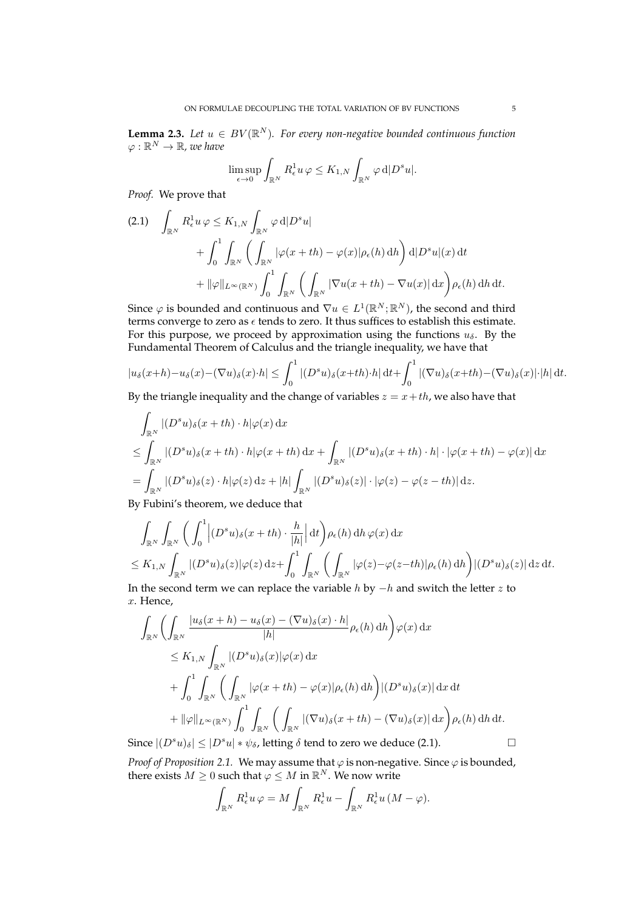**Lemma 2.3.** Let  $u \in BV(\mathbb{R}^N)$ . For every non-negative bounded continuous function  $\varphi:\mathbb{R}^N\rightarrow\mathbb{R}$ , we have

$$
\limsup_{\epsilon \to 0} \int_{\mathbb{R}^N} R_{\epsilon}^1 u \,\varphi \le K_{1,N} \int_{\mathbb{R}^N} \varphi \,d|D^s u|.
$$

*Proof.* We prove that

$$
(2.1) \quad \int_{\mathbb{R}^N} R_{\epsilon}^1 u \varphi \le K_{1,N} \int_{\mathbb{R}^N} \varphi \,d|D^s u| + \int_0^1 \int_{\mathbb{R}^N} \left( \int_{\mathbb{R}^N} |\varphi(x+th) - \varphi(x)| \rho_{\epsilon}(h) \,dh \right) d|D^s u|(x) \,dt + ||\varphi||_{L^{\infty}(\mathbb{R}^N)} \int_0^1 \int_{\mathbb{R}^N} \left( \int_{\mathbb{R}^N} |\nabla u(x+th) - \nabla u(x)| \,dx \right) \rho_{\epsilon}(h) \,dh \,dt.
$$

Since  $\varphi$  is bounded and continuous and  $\nabla u \in L^1(\mathbb{R}^N;\mathbb{R}^N)$ , the second and third terms converge to zero as  $\epsilon$  tends to zero. It thus suffices to establish this estimate. For this purpose, we proceed by approximation using the functions  $u_{\delta}$ . By the Fundamental Theorem of Calculus and the triangle inequality, we have that

$$
|u_{\delta}(x+h)-u_{\delta}(x)-(\nabla u)_{\delta}(x)\cdot h|\leq \int_{0}^{1}|(D^{s}u)_{\delta}(x+th)\cdot h|\,dt+\int_{0}^{1}|(\nabla u)_{\delta}(x+th)-(\nabla u)_{\delta}(x)|\cdot|h|\,dt.
$$

By the triangle inequality and the change of variables  $z = x + th$ , we also have that

$$
\int_{\mathbb{R}^N} |(D^s u)_\delta(x+th) \cdot h | \varphi(x) dx
$$
\n
$$
\leq \int_{\mathbb{R}^N} |(D^s u)_\delta(x+th) \cdot h | \varphi(x+th) dx + \int_{\mathbb{R}^N} |(D^s u)_\delta(x+th) \cdot h | \cdot |\varphi(x+th) - \varphi(x)| dx
$$
\n
$$
= \int_{\mathbb{R}^N} |(D^s u)_\delta(z) \cdot h | \varphi(z) dz + |h| \int_{\mathbb{R}^N} |(D^s u)_\delta(z)| \cdot |\varphi(z) - \varphi(z-th)| dz.
$$

By Fubini's theorem, we deduce that

$$
\int_{\mathbb{R}^N} \int_{\mathbb{R}^N} \left( \int_0^1 \left| (D^s u)_\delta(x+th) \cdot \frac{h}{|h|} \right| dt \right) \rho_\epsilon(h) dh \, \varphi(x) dx
$$
\n
$$
\leq K_{1,N} \int_{\mathbb{R}^N} |(D^s u)_\delta(z)| \varphi(z) dz + \int_0^1 \int_{\mathbb{R}^N} \left( \int_{\mathbb{R}^N} |\varphi(z) - \varphi(z-th)| \rho_\epsilon(h) dh \right) |(D^s u)_\delta(z)| dz dt.
$$

In the second term we can replace the variable  $h$  by  $-h$  and switch the letter z to x. Hence,

$$
\int_{\mathbb{R}^N} \left( \int_{\mathbb{R}^N} \frac{|u_{\delta}(x+h) - u_{\delta}(x) - (\nabla u)_{\delta}(x) \cdot h|}{|h|} \rho_{\epsilon}(h) dh \right) \varphi(x) dx
$$
\n
$$
\leq K_{1,N} \int_{\mathbb{R}^N} |(D^s u)_{\delta}(x)| \varphi(x) dx
$$
\n
$$
+ \int_0^1 \int_{\mathbb{R}^N} \left( \int_{\mathbb{R}^N} |\varphi(x+th) - \varphi(x)| \rho_{\epsilon}(h) dh \right) |(D^s u)_{\delta}(x)| dx dt
$$
\n
$$
+ ||\varphi||_{L^{\infty}(\mathbb{R}^N)} \int_0^1 \int_{\mathbb{R}^N} \left( \int_{\mathbb{R}^N} |(\nabla u)_{\delta}(x+th) - (\nabla u)_{\delta}(x)| dx \right) \rho_{\epsilon}(h) dh dt.
$$
\n
$$
= \sum_{k=1}^N \int_{\mathbb{R}^N} \left( \int_{\mathbb{R}^N} |(\nabla u)_{\delta}(x+th) - (\nabla u)_{\delta}(x)| dx \right) \rho_{\epsilon}(h) dh dt.
$$

Since  $|(D^s u)_\delta| \leq |D^s u| * \psi_\delta$ , letting  $\delta$  tend to zero we deduce (2.1).

*Proof of Proposition 2.1.* We may assume that  $\varphi$  is non-negative. Since  $\varphi$  is bounded, there exists  $M \geq 0$  such that  $\varphi \leq M$  in  $\mathbb{R}^N$ . We now write

$$
\int_{\mathbb{R}^N} R_{\epsilon}^1 u \, \varphi = M \int_{\mathbb{R}^N} R_{\epsilon}^1 u - \int_{\mathbb{R}^N} R_{\epsilon}^1 u \, (M - \varphi).
$$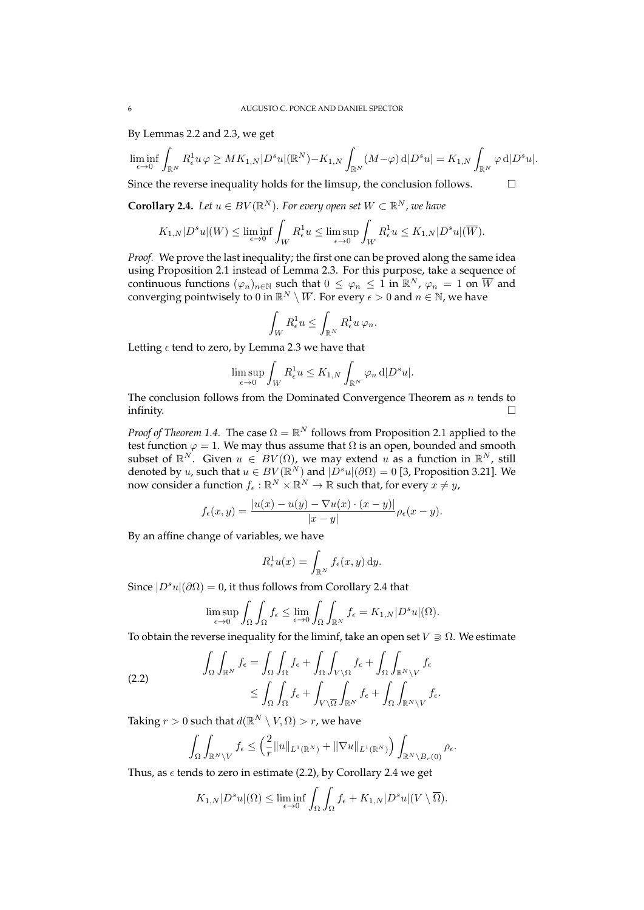By Lemmas 2.2 and 2.3, we get

$$
\liminf_{\epsilon \to 0} \int_{\mathbb{R}^N} R_{\epsilon}^1 u \varphi \geq MK_{1,N} |D^s u| (\mathbb{R}^N) - K_{1,N} \int_{\mathbb{R}^N} (M - \varphi) d|D^s u| = K_{1,N} \int_{\mathbb{R}^N} \varphi d|D^s u|.
$$

Since the reverse inequality holds for the limsup, the conclusion follows.  $\Box$ 

**Corollary 2.4.** Let  $u \in BV(\mathbb{R}^N)$ . For every open set  $W \subset \mathbb{R}^N$ , we have

$$
K_{1,N}|D^su|(W) \le \liminf_{\epsilon \to 0} \int_W R_{\epsilon}^1 u \le \limsup_{\epsilon \to 0} \int_W R_{\epsilon}^1 u \le K_{1,N}|D^su|(\overline{W}).
$$

*Proof.* We prove the last inequality; the first one can be proved along the same idea using Proposition 2.1 instead of Lemma 2.3. For this purpose, take a sequence of continuous functions  $(\varphi_n)_{n\in\mathbb{N}}$  such that  $0 \leq \varphi_n \leq 1$  in  $\mathbb{R}^N$ ,  $\varphi_n = 1$  on  $\overline{W}$  and converging pointwisely to  $0$  in  $\mathbb{R}^N \setminus \overline{W}.$  For every  $\epsilon > 0$  and  $n \in \mathbb{N}$ , we have

$$
\int_W R_{\epsilon}^1 u \leq \int_{\mathbb{R}^N} R_{\epsilon}^1 u \, \varphi_n.
$$

Letting  $\epsilon$  tend to zero, by Lemma 2.3 we have that

$$
\limsup_{\epsilon \to 0} \int_W R_{\epsilon}^1 u \le K_{1,N} \int_{\mathbb{R}^N} \varphi_n \,d|D^s u|.
$$

The conclusion follows from the Dominated Convergence Theorem as  $n$  tends to infinity.  $\qquad \qquad \Box$ 

*Proof of Theorem 1.4.* The case  $\Omega = \mathbb{R}^N$  follows from Proposition 2.1 applied to the test function  $\varphi = 1$ . We may thus assume that  $\Omega$  is an open, bounded and smooth subset of  $\mathbb{R}^N$ . Given  $u \in BV(\Omega)$ , we may extend  $u$  as a function in  $\mathbb{R}^N$ , still denoted by u, such that  $u \in BV(\mathbb{R}^N)$  and  $|D^s u|(\partial \Omega) = 0$  [3, Proposition 3.21]. We now consider a function  $f_\epsilon: \mathbb{R}^N \times \mathbb{R}^N \to \mathbb{R}$  such that, for every  $x \neq y$ ,

$$
f_{\epsilon}(x,y) = \frac{|u(x) - u(y) - \nabla u(x) \cdot (x - y)|}{|x - y|} \rho_{\epsilon}(x - y).
$$

By an affine change of variables, we have

$$
R_{\epsilon}^{1}u(x) = \int_{\mathbb{R}^{N}} f_{\epsilon}(x, y) dy.
$$

Since  $|D^s u|(\partial \Omega) = 0$ , it thus follows from Corollary 2.4 that

$$
\limsup_{\epsilon \to 0} \int_{\Omega} \int_{\Omega} f_{\epsilon} \le \lim_{\epsilon \to 0} \int_{\Omega} \int_{\mathbb{R}^N} f_{\epsilon} = K_{1,N} |D^s u|(\Omega).
$$

To obtain the reverse inequality for the liminf, take an open set  $V \supseteq \Omega$ . We estimate

(2.2) 
$$
\int_{\Omega} \int_{\mathbb{R}^N} f_{\epsilon} = \int_{\Omega} \int_{\Omega} f_{\epsilon} + \int_{\Omega} \int_{V \setminus \Omega} f_{\epsilon} + \int_{\Omega} \int_{\mathbb{R}^N \setminus V} f_{\epsilon} \leq \int_{\Omega} \int_{\Omega} f_{\epsilon} + \int_{V \setminus \overline{\Omega}} \int_{\mathbb{R}^N} f_{\epsilon} + \int_{\Omega} \int_{\mathbb{R}^N \setminus V} f_{\epsilon}.
$$

Taking  $r > 0$  such that  $d(\mathbb{R}^N \setminus V, \Omega) > r$ , we have

$$
\int_{\Omega}\int_{\mathbb{R}^N\setminus V}f_{\epsilon}\leq \left(\frac{2}{r}\|u\|_{L^1(\mathbb{R}^N)}+\|\nabla u\|_{L^1(\mathbb{R}^N)}\right)\int_{\mathbb{R}^N\setminus B_r(0)}\rho_{\epsilon}.
$$

Thus, as  $\epsilon$  tends to zero in estimate (2.2), by Corollary 2.4 we get

$$
K_{1,N}|D^su|(\Omega) \leq \liminf_{\epsilon \to 0} \int_{\Omega} \int_{\Omega} f_{\epsilon} + K_{1,N}|D^su|(V \setminus \overline{\Omega}).
$$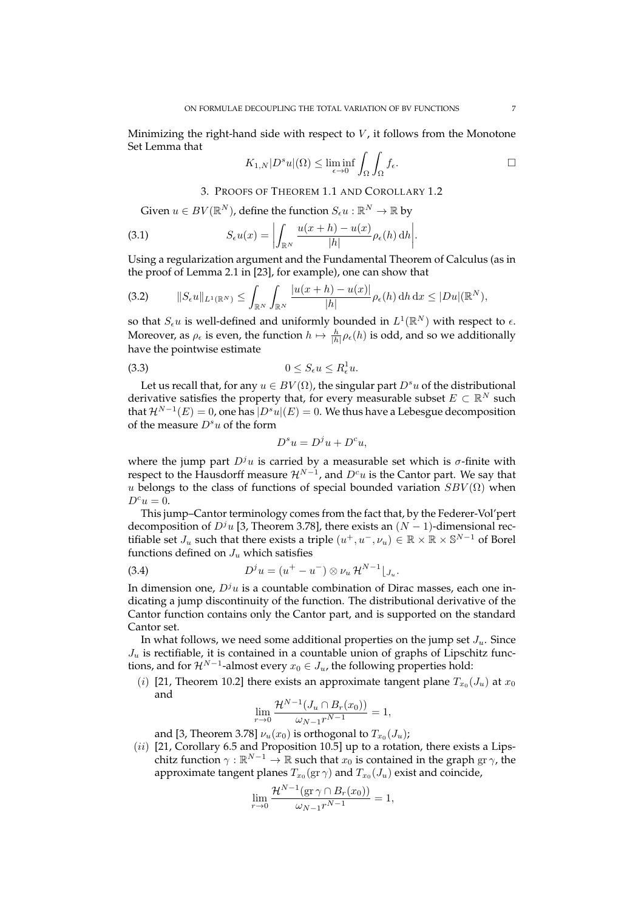Minimizing the right-hand side with respect to  $V$ , it follows from the Monotone Set Lemma that

$$
K_{1,N}|D^su|(\Omega) \le \liminf_{\epsilon \to 0} \int_{\Omega} \int_{\Omega} f_{\epsilon}.
$$

3. PROOFS OF THEOREM 1.1 AND COROLLARY 1.2

Given  $u \in BV(\mathbb{R}^N)$ , define the function  $S_\epsilon u : \mathbb{R}^N \to \mathbb{R}$  by

(3.1) 
$$
S_{\epsilon}u(x) = \left| \int_{\mathbb{R}^N} \frac{u(x+h) - u(x)}{|h|} \rho_{\epsilon}(h) dh \right|.
$$

Using a regularization argument and the Fundamental Theorem of Calculus (as in the proof of Lemma 2.1 in [23], for example), one can show that

$$
(3.2) \qquad ||S_{\epsilon}u||_{L^{1}(\mathbb{R}^{N})} \leq \int_{\mathbb{R}^{N}} \int_{\mathbb{R}^{N}} \frac{|u(x+h)-u(x)|}{|h|} \rho_{\epsilon}(h) \, \mathrm{d}h \, \mathrm{d}x \leq |Du|(\mathbb{R}^{N}),
$$

so that  $S_{\epsilon}u$  is well-defined and uniformly bounded in  $L^1(\mathbb{R}^N)$  with respect to  $\epsilon$ . Moreover, as  $\rho_\epsilon$  is even, the function  $h \mapsto \frac{h}{|h|} \rho_\epsilon(h)$  is odd, and so we additionally have the pointwise estimate

$$
(3.3) \t\t 0 \le S_{\epsilon} u \le R_{\epsilon}^1 u.
$$

Let us recall that, for any  $u \in BV(\Omega)$ , the singular part  $D^s u$  of the distributional derivative satisfies the property that, for every measurable subset  $E \subset \mathbb{R}^N$  such that  $\mathcal{H}^{N-1}(E)=0$ , one has  $\overline{|D^su|(E)}=0.$  We thus have a Lebesgue decomposition of the measure  $D^s u$  of the form

$$
D^s u = D^j u + D^c u,
$$

where the jump part  $D^{j}u$  is carried by a measurable set which is  $\sigma$ -finite with respect to the Hausdorff measure  $\mathcal{H}^{N-1}$ , and  $D^cu$  is the Cantor part. We say that u belongs to the class of functions of special bounded variation  $SBV(\Omega)$  when  $D^cu=0.$ 

This jump–Cantor terminology comes from the fact that, by the Federer-Vol'pert decomposition of  $D<sup>j</sup>u$  [3, Theorem 3.78], there exists an  $(N - 1)$ -dimensional rectifiable set  $J_u$  such that there exists a triple  $(u^+, u^-, \nu_u) \in \mathbb{R} \times \mathbb{R} \times \mathbb{S}^{N-1}$  of Borel functions defined on  $J_u$  which satisfies

(3.4) 
$$
D^{j}u = (u^{+} - u^{-}) \otimes \nu_{u} \mathcal{H}^{N-1} \big|_{J_{u}}.
$$

In dimension one,  $D^{j}u$  is a countable combination of Dirac masses, each one indicating a jump discontinuity of the function. The distributional derivative of the Cantor function contains only the Cantor part, and is supported on the standard Cantor set.

In what follows, we need some additional properties on the jump set  $J_u$ . Since  $J_u$  is rectifiable, it is contained in a countable union of graphs of Lipschitz functions, and for  $\mathcal{H}^{N-1}$ -almost every  $x_0 \in J_u$ , the following properties hold:

(*i*) [21, Theorem 10.2] there exists an approximate tangent plane  $T_{x_0}(J_u)$  at  $x_0$ and

$$
\lim_{r \to 0} \frac{\mathcal{H}^{N-1}(J_u \cap B_r(x_0))}{\omega_{N-1}r^{N-1}} = 1,
$$

and [3, Theorem 3.78]  $\nu_u(x_0)$  is orthogonal to  $T_{x_0}(J_u)$ ;

 $(ii)$  [21, Corollary 6.5 and Proposition 10.5] up to a rotation, there exists a Lipschitz function  $\gamma : \mathbb{R}^{N-1} \to \mathbb{R}$  such that  $x_0$  is contained in the graph  $\text{gr}\gamma$ , the approximate tangent planes  $T_{x_0}(\text{gr\,}\gamma)$  and  $T_{x_0}(J_u)$  exist and coincide,

$$
\lim_{r \to 0} \frac{\mathcal{H}^{N-1}(\text{gr }\gamma \cap B_r(x_0))}{\omega_{N-1}r^{N-1}} = 1,
$$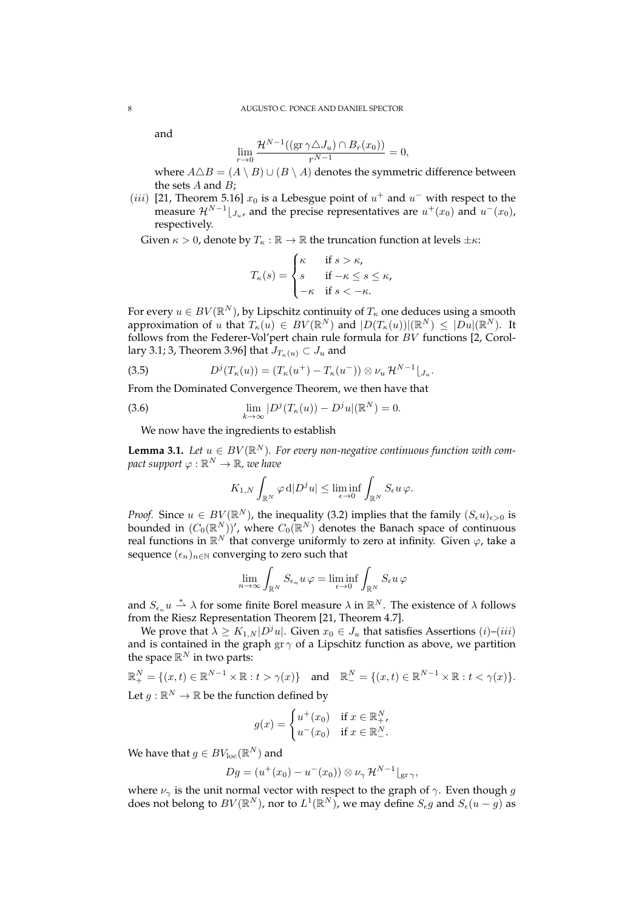and

$$
\lim_{r \to 0} \frac{\mathcal{H}^{N-1}((\text{gr }\gamma \triangle J_u) \cap B_r(x_0))}{r^{N-1}} = 0,
$$

where  $A \triangle B = (A \setminus B) \cup (B \setminus A)$  denotes the symmetric difference between the sets  $A$  and  $B$ ;

(*iii*) [21, Theorem 5.16]  $x_0$  is a Lebesgue point of  $u^+$  and  $u^-$  with respect to the measure  $\mathcal{H}^{N-1}|_{J_u}$ , and the precise representatives are  $u^+(x_0)$  and  $u^-(x_0)$ , respectively.

Given  $\kappa > 0$ , denote by  $T_{\kappa} : \mathbb{R} \to \mathbb{R}$  the truncation function at levels  $\pm \kappa$ :

$$
T_{\kappa}(s) = \begin{cases} \kappa & \text{if } s > \kappa, \\ s & \text{if } -\kappa \le s \le \kappa, \\ -\kappa & \text{if } s < -\kappa. \end{cases}
$$

For every  $u \in BV(\mathbb{R}^N)$ , by Lipschitz continuity of  $T_\kappa$  one deduces using a smooth approximation of u that  $T_{\kappa}(u) \in BV(\mathbb{R}^N)$  and  $|D(T_{\kappa}(u))|(\mathbb{R}^N) \leq |Du|(\mathbb{R}^N)$ . It follows from the Federer-Vol'pert chain rule formula for BV functions [2, Corollary 3.1; 3, Theorem 3.96] that  $J_{T_{\kappa}(u)} \subset J_u$  and

(3.5) 
$$
D^{j}(T_{\kappa}(u)) = (T_{\kappa}(u^{+}) - T_{\kappa}(u^{-})) \otimes \nu_{u} \mathcal{H}^{N-1} \lfloor J_{u}.
$$

From the Dominated Convergence Theorem, we then have that

(3.6) 
$$
\lim_{k \to \infty} |D^{j}(T_{\kappa}(u)) - D^{j}u|(\mathbb{R}^{N}) = 0.
$$

We now have the ingredients to establish

**Lemma 3.1.** Let  $u \in BV(\mathbb{R}^N)$ . For every non-negative continuous function with com- $\textit{pack support} \varphi: \mathbb{R}^N \rightarrow \mathbb{R}$ *, we have* 

$$
K_{1,N}\int_{\mathbb{R}^N}\varphi\,d|D^ju|\leq \liminf_{\epsilon\to 0}\int_{\mathbb{R}^N}S_\epsilon u\,\varphi.
$$

*Proof.* Since  $u \in BV(\mathbb{R}^N)$ , the inequality (3.2) implies that the family  $(S_{\epsilon}u)_{\epsilon>0}$  is bounded in  $(C_0(\mathbb{R}^N))'$ , where  $C_0(\mathbb{R}^N)$  denotes the Banach space of continuous real functions in  $\mathbb{R}^N$  that converge uniformly to zero at infinity. Given  $\varphi$ , take a sequence  $(\epsilon_n)_{n\in\mathbb{N}}$  converging to zero such that

$$
\lim_{n\to\infty}\int_{\mathbb{R}^N}S_{\epsilon_n}u\,\varphi=\liminf_{\epsilon\to 0}\int_{\mathbb{R}^N}S_{\epsilon}u\,\varphi
$$

and  $S_{\epsilon_n}u \stackrel{*}{\rightharpoonup} \lambda$  for some finite Borel measure  $\lambda$  in  $\mathbb{R}^N$ . The existence of  $\lambda$  follows from the Riesz Representation Theorem [21, Theorem 4.7].

We prove that  $\lambda \geq K_{1,N} |D^j u|$ . Given  $x_0 \in J_u$  that satisfies Assertions  $(i)$ – $(iii)$ and is contained in the graph gr  $\gamma$  of a Lipschitz function as above, we partition the space  $\mathbb{R}^N$  in two parts:

$$
\mathbb{R}^N_+ = \{(x, t) \in \mathbb{R}^{N-1} \times \mathbb{R} : t > \gamma(x)\} \text{ and } \mathbb{R}^N_- = \{(x, t) \in \mathbb{R}^{N-1} \times \mathbb{R} : t < \gamma(x)\}.
$$
  
Let  $g : \mathbb{R}^N \to \mathbb{R}$  be the function defined by

$$
g(x) = \begin{cases} u^+(x_0) & \text{if } x \in \mathbb{R}^N_+, \\ u^-(x_0) & \text{if } x \in \mathbb{R}^N_-\end{cases}
$$

We have that  $g\in BV_{\operatorname{loc}}(\mathbb{R}^N)$  and

$$
Dg = (u^+(x_0) - u^-(x_0)) \otimes \nu_\gamma \mathcal{H}^{N-1}|_{\text{gr}\,\gamma},
$$

where  $\nu_{\gamma}$  is the unit normal vector with respect to the graph of  $\gamma$ . Even though g does not belong to  $BV(\mathbb{R}^N)$ , nor to  $L^1(\mathbb{R}^N)$ , we may define  $S_{\epsilon}g$  and  $S_{\epsilon}(u-g)$  as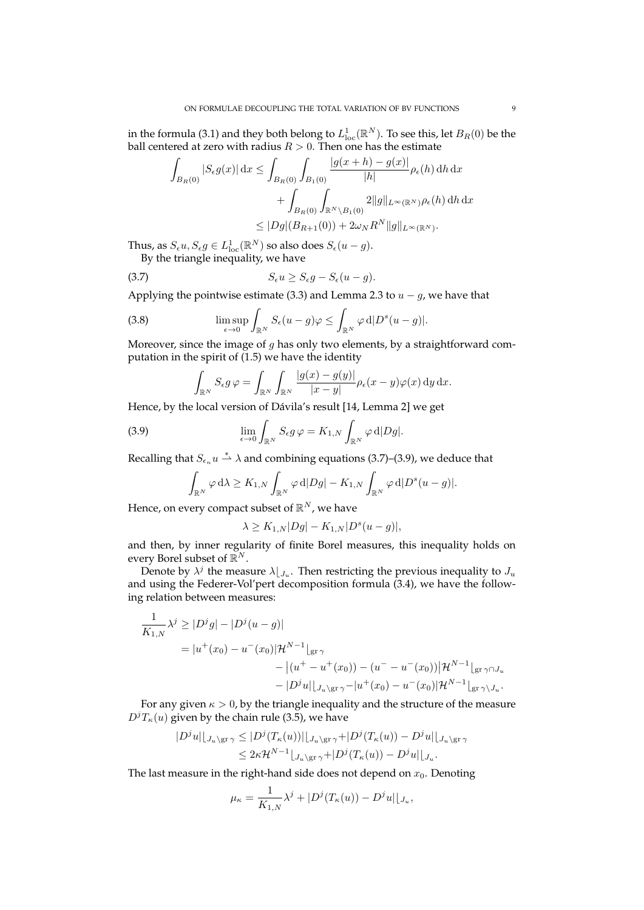in the formula (3.1) and they both belong to  $L^1_{\rm loc}({\mathbb R}^{N}).$  To see this, let  $B_R(0)$  be the ball centered at zero with radius  $R > 0$ . Then one has the estimate

$$
\int_{B_R(0)} |S_{\epsilon}g(x)| dx \le \int_{B_R(0)} \int_{B_1(0)} \frac{|g(x+h) - g(x)|}{|h|} \rho_{\epsilon}(h) dh dx \n+ \int_{B_R(0)} \int_{\mathbb{R}^N \backslash B_1(0)} 2||g||_{L^{\infty}(\mathbb{R}^N)} \rho_{\epsilon}(h) dh dx \n\le |Dg|(B_{R+1}(0)) + 2\omega_N R^N ||g||_{L^{\infty}(\mathbb{R}^N)}.
$$

Thus, as  $S_{\epsilon}u, S_{\epsilon}g \in L_{\text{loc}}^1(\mathbb{R}^N)$  so also does  $S_{\epsilon}(u-g)$ .

By the triangle inequality, we have

$$
(3.7) \tS_{\epsilon}u \geq S_{\epsilon}g - S_{\epsilon}(u - g).
$$

Applying the pointwise estimate (3.3) and Lemma 2.3 to  $u - g$ , we have that

(3.8) 
$$
\limsup_{\epsilon \to 0} \int_{\mathbb{R}^N} S_{\epsilon}(u - g) \varphi \leq \int_{\mathbb{R}^N} \varphi \,d|D^s(u - g)|.
$$

Moreover, since the image of  $g$  has only two elements, by a straightforward computation in the spirit of (1.5) we have the identity

$$
\int_{\mathbb{R}^N} S_{\epsilon} g \, \varphi = \int_{\mathbb{R}^N} \int_{\mathbb{R}^N} \frac{|g(x) - g(y)|}{|x - y|} \rho_{\epsilon}(x - y) \varphi(x) \, \mathrm{d}y \, \mathrm{d}x.
$$

Hence, by the local version of Dávila's result [14, Lemma 2] we get

(3.9) 
$$
\lim_{\epsilon \to 0} \int_{\mathbb{R}^N} S_{\epsilon} g \varphi = K_{1,N} \int_{\mathbb{R}^N} \varphi \,d|Dg|.
$$

Recalling that  $S_{\epsilon_n}u\overset{*}{\rightharpoonup}\lambda$  and combining equations (3.7)–(3.9), we deduce that

$$
\int_{\mathbb{R}^N} \varphi \, d\lambda \ge K_{1,N} \int_{\mathbb{R}^N} \varphi \, d|Dg| - K_{1,N} \int_{\mathbb{R}^N} \varphi \, d|D^s(u-g)|.
$$

Hence, on every compact subset of  $\mathbb{R}^N$ , we have

$$
\lambda \ge K_{1,N}|Dg| - K_{1,N}|D^s(u - g)|,
$$

and then, by inner regularity of finite Borel measures, this inequality holds on every Borel subset of  $\mathbb{R}^N$ .

Denote by  $\lambda^j$  the measure  $\lambda|_{J_u}$ . Then restricting the previous inequality to  $J_u$ and using the Federer-Vol'pert decomposition formula (3.4), we have the following relation between measures:

$$
\frac{1}{K_{1,N}}\lambda^{j} \ge |D^{j}g| - |D^{j}(u - g)|
$$
\n
$$
= |u^{+}(x_{0}) - u^{-}(x_{0})|\mathcal{H}^{N-1}|_{\mathcal{B}^{\Gamma}}\gamma
$$
\n
$$
- |(u^{+} - u^{+}(x_{0})) - (u^{-} - u^{-}(x_{0}))|\mathcal{H}^{N-1}|_{\mathcal{B}^{\Gamma}}\gamma \cap J_{u}
$$
\n
$$
- |D^{j}u||_{J_{u}\setminus\mathcal{B}^{\Gamma}}\gamma^{-}|u^{+}(x_{0}) - u^{-}(x_{0})|\mathcal{H}^{N-1}|_{\mathcal{B}^{\Gamma}}\gamma \setminus J_{u}.
$$

For any given  $\kappa > 0$ , by the triangle inequality and the structure of the measure  $D^{j}T_{\kappa}(u)$  given by the chain rule (3.5), we have

$$
|D^j u|\big|_{J_u\setminus\mathrm{gr}\,\gamma} \leq |D^j(T_\kappa(u))|\big|_{J_u\setminus\mathrm{gr}\,\gamma} + |D^j(T_\kappa(u)) - D^j u|\big|_{J_u\setminus\mathrm{gr}\,\gamma}
$$
  

$$
\leq 2\kappa \mathcal{H}^{N-1}\big|_{J_u\setminus\mathrm{gr}\,\gamma} + |D^j(T_\kappa(u)) - D^j u|\big|_{J_u}.
$$

The last measure in the right-hand side does not depend on  $x_0$ . Denoting

$$
\mu_{\kappa} = \frac{1}{K_{1,N}} \lambda^{j} + |D^{j}(T_{\kappa}(u)) - D^{j}u||_{J_{u}},
$$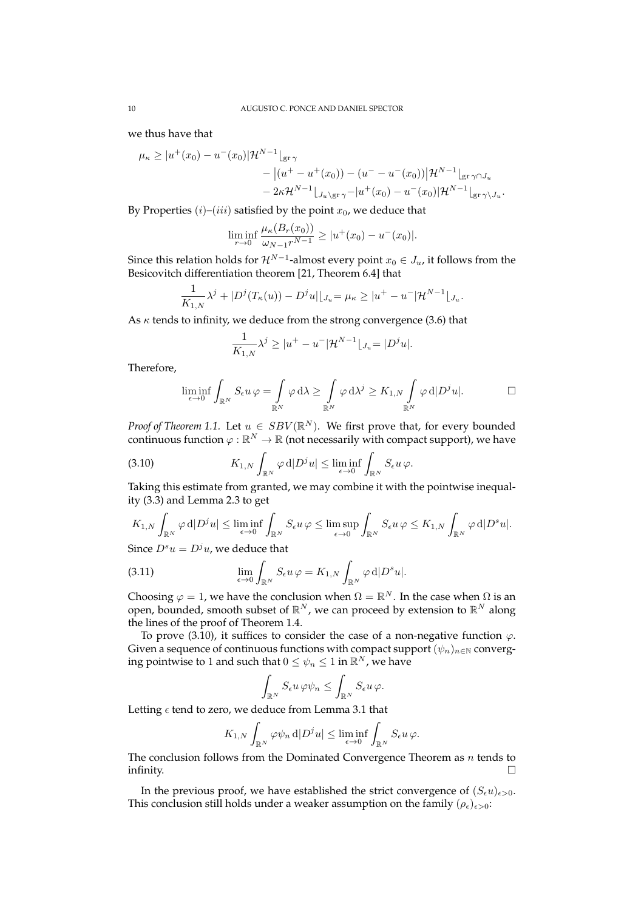we thus have that

$$
\mu_{\kappa} \ge |u^{+}(x_{0}) - u^{-}(x_{0})| \mathcal{H}^{N-1}|_{\text{gr}\,\gamma} \n- |(u^{+} - u^{+}(x_{0})) - (u^{-} - u^{-}(x_{0}))| \mathcal{H}^{N-1}|_{\text{gr}\,\gamma \cap J_{u}} \n- 2\kappa \mathcal{H}^{N-1}|_{J_{u}\backslash \text{gr}\,\gamma} - |u^{+}(x_{0}) - u^{-}(x_{0})| \mathcal{H}^{N-1}|_{\text{gr}\,\gamma \backslash J_{u}}.
$$

By Properties  $(i)$ – $(iii)$  satisfied by the point  $x_0$ , we deduce that

$$
\liminf_{r \to 0} \frac{\mu_{\kappa}(B_r(x_0))}{\omega_{N-1}r^{N-1}} \ge |u^+(x_0) - u^-(x_0)|.
$$

Since this relation holds for  $\mathcal{H}^{N-1}$ -almost every point  $x_0\in J_u$ , it follows from the Besicovitch differentiation theorem [21, Theorem 6.4] that

$$
\frac{1}{K_{1,N}}\lambda^j + |D^j(T_{\kappa}(u)) - D^j u||_{J_u} = \mu_{\kappa} \ge |u^+ - u^-| \mathcal{H}^{N-1} |_{J_u}.
$$

As  $\kappa$  tends to infinity, we deduce from the strong convergence (3.6) that

$$
\frac{1}{K_{1,N}}\lambda^j \ge |u^+ - u^-| \mathcal{H}^{N-1} \lfloor_{J_u} = |D^j u|.
$$

Therefore,

$$
\liminf_{\epsilon \to 0} \int_{\mathbb{R}^N} S_{\epsilon} u \,\varphi = \int_{\mathbb{R}^N} \varphi \,d\lambda \ge \int_{\mathbb{R}^N} \varphi \,d\lambda^j \ge K_{1,N} \int_{\mathbb{R}^N} \varphi \,d|D^j u|.
$$

*Proof of Theorem 1.1.* Let  $u \in SBV(\mathbb{R}^N)$ . We first prove that, for every bounded continuous function  $\varphi : \mathbb{R}^N \to \mathbb{R}$  (not necessarily with compact support), we have

(3.10) 
$$
K_{1,N} \int_{\mathbb{R}^N} \varphi \, d|D^j u| \leq \liminf_{\epsilon \to 0} \int_{\mathbb{R}^N} S_{\epsilon} u \, \varphi.
$$

Taking this estimate from granted, we may combine it with the pointwise inequality (3.3) and Lemma 2.3 to get

$$
K_{1,N}\int_{\mathbb{R}^N}\varphi\, \mathrm{d} |D^ju|\leq \liminf_{\epsilon\to 0}\int_{\mathbb{R}^N}S_\epsilon u\,\varphi\leq \limsup_{\epsilon\to 0}\int_{\mathbb{R}^N}S_\epsilon u\,\varphi\leq K_{1,N}\int_{\mathbb{R}^N}\varphi\, \mathrm{d} |D^su|.
$$

Since  $D^s u = D^j u$ , we deduce that

(3.11) 
$$
\lim_{\epsilon \to 0} \int_{\mathbb{R}^N} S_{\epsilon} u \, \varphi = K_{1,N} \int_{\mathbb{R}^N} \varphi \, \mathrm{d} |D^s u|.
$$

Choosing  $\varphi = 1$ , we have the conclusion when  $\Omega = \mathbb{R}^N$ . In the case when  $\Omega$  is an open, bounded, smooth subset of  $\mathbb{R}^N$ , we can proceed by extension to  $\mathbb{R}^N$  along the lines of the proof of Theorem 1.4.

To prove (3.10), it suffices to consider the case of a non-negative function  $\varphi$ . Given a sequence of continuous functions with compact support  $(\psi_n)_{n\in\mathbb{N}}$  converging pointwise to 1 and such that  $0 \leq \psi_n \leq 1$  in  $\mathbb{R}^N$ , we have

$$
\int_{\mathbb{R}^N} S_{\epsilon} u \, \varphi \psi_n \leq \int_{\mathbb{R}^N} S_{\epsilon} u \, \varphi.
$$

Letting  $\epsilon$  tend to zero, we deduce from Lemma 3.1 that

$$
K_{1,N}\int_{\mathbb{R}^N}\varphi\psi_n\,\mathrm{d}|D^ju|\leq \liminf_{\epsilon\to 0}\int_{\mathbb{R}^N}S_\epsilon u\,\varphi.
$$

The conclusion follows from the Dominated Convergence Theorem as  $n$  tends to infinity.  $\qquad \qquad \Box$ 

In the previous proof, we have established the strict convergence of  $(S_{\epsilon}u)_{\epsilon>0}$ . This conclusion still holds under a weaker assumption on the family  $(\rho_{\epsilon})_{\epsilon>0}$ :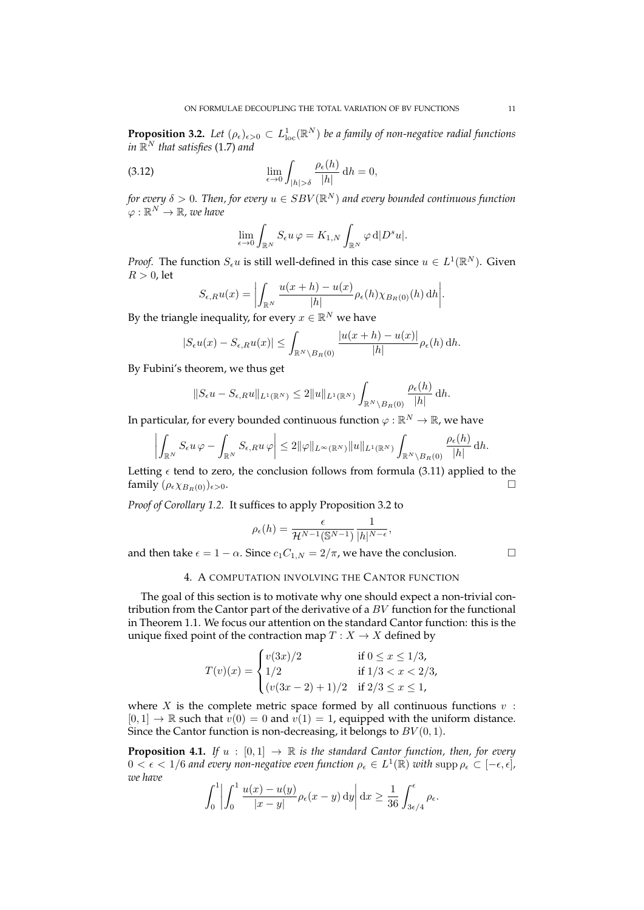**Proposition 3.2.** Let  $(\rho_{\epsilon})_{\epsilon>0} \subset L^1_{\text{loc}}(\mathbb{R}^N)$  be a family of non-negative radial functions in  $\mathbb{R}^N$  that satisfies (1.7) and

(3.12) 
$$
\lim_{\epsilon \to 0} \int_{|h| > \delta} \frac{\rho_{\epsilon}(h)}{|h|} dh = 0,
$$

for every  $\delta > 0.$  Then, for every  $u \in SBV(\mathbb{R}^N)$  and every bounded continuous function  $\varphi: \mathbb{R}^N \rightarrow \mathbb{R}$ , we have

$$
\lim_{\epsilon \to 0} \int_{\mathbb{R}^N} S_{\epsilon} u \,\varphi = K_{1,N} \int_{\mathbb{R}^N} \varphi \,d|D^s u|.
$$

*Proof.* The function  $S_{\epsilon}u$  is still well-defined in this case since  $u \in L^1(\mathbb{R}^N)$ . Given  $R > 0$ , let

$$
S_{\epsilon,R}u(x) = \left| \int_{\mathbb{R}^N} \frac{u(x+h) - u(x)}{|h|} \rho_{\epsilon}(h) \chi_{B_R(0)}(h) dh \right|.
$$

By the triangle inequality, for every  $x \in \mathbb{R}^N$  we have

$$
|S_{\epsilon}u(x)-S_{\epsilon,R}u(x)|\leq \int_{\mathbb{R}^N\backslash B_R(0)}\frac{|u(x+h)-u(x)|}{|h|}\rho_{\epsilon}(h)\,dh.
$$

By Fubini's theorem, we thus get

$$
||S_{\epsilon}u - S_{\epsilon,R}u||_{L^1(\mathbb{R}^N)} \leq 2||u||_{L^1(\mathbb{R}^N)} \int_{\mathbb{R}^N \setminus B_R(0)} \frac{\rho_{\epsilon}(h)}{|h|} dh.
$$

In particular, for every bounded continuous function  $\varphi:\mathbb{R}^N\to\mathbb{R}$ , we have

$$
\left|\int_{\mathbb{R}^N}S_\epsilon u\,\varphi-\int_{\mathbb{R}^N}S_{\epsilon,R}u\,\varphi\right|\leq 2\|\varphi\|_{L^\infty(\mathbb{R}^N)}\|u\|_{L^1(\mathbb{R}^N)}\int_{\mathbb{R}^N\backslash B_R(0)}\frac{\rho_\epsilon(h)}{|h|}\,\mathrm{d} h.
$$

Letting  $\epsilon$  tend to zero, the conclusion follows from formula (3.11) applied to the family  $(\rho_{\epsilon} \chi_{B_R(0)})_{\epsilon > 0}$ .

*Proof of Corollary 1.2.* It suffices to apply Proposition 3.2 to

$$
\rho_{\epsilon}(h) = \frac{\epsilon}{\mathcal{H}^{N-1}(\mathbb{S}^{N-1})} \frac{1}{|h|^{N-\epsilon}},
$$

and then take  $\epsilon = 1 - \alpha$ . Since  $c_1 C_{1,N} = 2/\pi$ , we have the conclusion.

# 4. A COMPUTATION INVOLVING THE CANTOR FUNCTION

The goal of this section is to motivate why one should expect a non-trivial contribution from the Cantor part of the derivative of a  $BV$  function for the functional in Theorem 1.1. We focus our attention on the standard Cantor function: this is the unique fixed point of the contraction map  $T : X \to X$  defined by

$$
T(v)(x) = \begin{cases} v(3x)/2 & \text{if } 0 \le x \le 1/3, \\ 1/2 & \text{if } 1/3 < x < 2/3, \\ (v(3x-2)+1)/2 & \text{if } 2/3 \le x \le 1, \end{cases}
$$

where  $X$  is the complete metric space formed by all continuous functions  $v$ :  $[0, 1] \rightarrow \mathbb{R}$  such that  $v(0) = 0$  and  $v(1) = 1$ , equipped with the uniform distance. Since the Cantor function is non-decreasing, it belongs to  $BV(0, 1)$ .

**Proposition 4.1.** *If*  $u : [0,1] \rightarrow \mathbb{R}$  *is the standard Cantor function, then, for every*  $0 < \epsilon < 1/6$  and every non-negative even function  $\rho_{\epsilon} \in L^1(\mathbb{R})$  with  $\text{supp}\,\rho_{\epsilon} \subset [-\epsilon, \epsilon]$ , *we have*

$$
\int_0^1 \left| \int_0^1 \frac{u(x) - u(y)}{|x - y|} \rho_{\epsilon}(x - y) \, dy \right| dx \ge \frac{1}{36} \int_{3\epsilon/4}^{\epsilon} \rho_{\epsilon}.
$$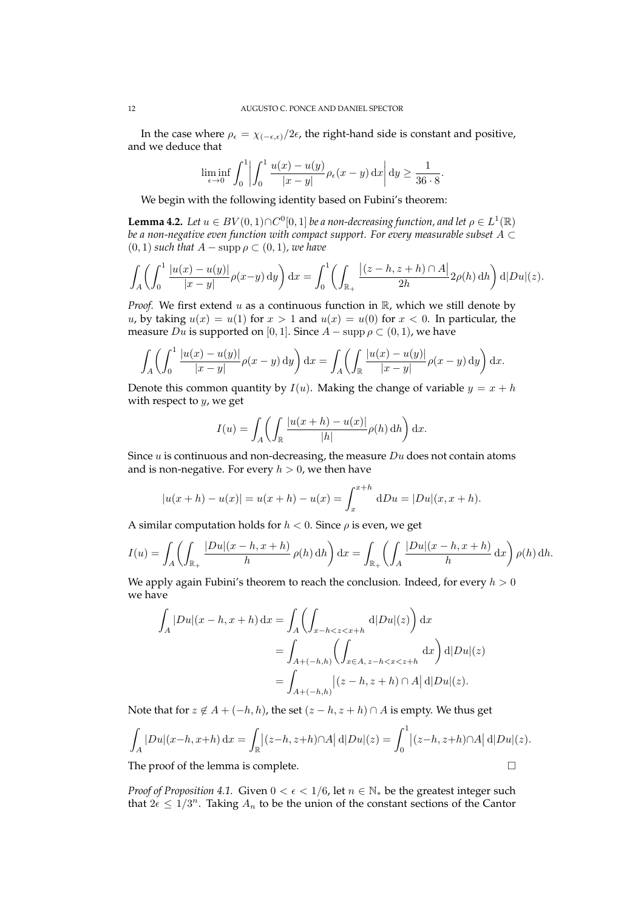In the case where  $\rho_{\epsilon} = \chi_{(-\epsilon,\epsilon)}/2\epsilon$ , the right-hand side is constant and positive, and we deduce that

$$
\liminf_{\epsilon \to 0} \int_0^1 \left| \int_0^1 \frac{u(x) - u(y)}{|x - y|} \rho_{\epsilon}(x - y) \,dx \right| dy \ge \frac{1}{36 \cdot 8}.
$$

We begin with the following identity based on Fubini's theorem:

**Lemma 4.2.** Let  $u \in BV(0,1) \cap C^0[0,1]$  be a non-decreasing function, and let  $\rho \in L^1(\mathbb{R})$ *be a non-negative even function with compact support. For every measurable subset* A ⊂  $(0, 1)$  *such that*  $A$  − supp  $\rho$  ⊂  $(0, 1)$ *, we have* 

$$
\int_{A} \left( \int_{0}^{1} \frac{|u(x) - u(y)|}{|x - y|} \rho(x - y) dy \right) dx = \int_{0}^{1} \left( \int_{\mathbb{R}_{+}} \frac{|(z - h, z + h) \cap A|}{2h} 2\rho(h) dh \right) d|Du|(z).
$$

*Proof.* We first extend  $u$  as a continuous function in  $\mathbb{R}$ , which we still denote by u, by taking  $u(x) = u(1)$  for  $x > 1$  and  $u(x) = u(0)$  for  $x < 0$ . In particular, the measure  $Du$  is supported on [0, 1]. Since  $A$  – supp  $\rho \subset (0,1)$ , we have

$$
\int_A \left( \int_0^1 \frac{|u(x) - u(y)|}{|x - y|} \rho(x - y) dy \right) dx = \int_A \left( \int_{\mathbb{R}} \frac{|u(x) - u(y)|}{|x - y|} \rho(x - y) dy \right) dx.
$$

Denote this common quantity by  $I(u)$ . Making the change of variable  $y = x + h$ with respect to  $y$ , we get

$$
I(u) = \int_A \left( \int_{\mathbb{R}} \frac{|u(x+h) - u(x)|}{|h|} \rho(h) \, \mathrm{d}h \right) \mathrm{d}x.
$$

Since  $u$  is continuous and non-decreasing, the measure  $Du$  does not contain atoms and is non-negative. For every  $h > 0$ , we then have

$$
|u(x+h) - u(x)| = u(x+h) - u(x) = \int_{x}^{x+h} dDu = |Du|(x, x+h).
$$

A similar computation holds for  $h < 0$ . Since  $\rho$  is even, we get

$$
I(u) = \int_A \left( \int_{\mathbb{R}_+} \frac{|Du|(x-h, x+h)}{h} \rho(h) \, dh \right) dx = \int_{\mathbb{R}_+} \left( \int_A \frac{|Du|(x-h, x+h)}{h} \, dx \right) \rho(h) \, dh.
$$

We apply again Fubini's theorem to reach the conclusion. Indeed, for every  $h > 0$ we have

$$
\int_{A} |Du|(x-h, x+h) dx = \int_{A} \left( \int_{x-h < z < x+h} d|Du|(z) \right) dx
$$

$$
= \int_{A+(-h,h)} \left( \int_{x \in A, z-h < x < z+h} dx \right) d|Du|(z)
$$

$$
= \int_{A+(-h,h)} |(z-h, z+h) \cap A| d|Du|(z).
$$

Note that for  $z \notin A + (-h, h)$ , the set  $(z - h, z + h) \cap A$  is empty. We thus get

$$
\int_A |Du|(x-h, x+h) dx = \int_{\mathbb{R}} |(z-h, z+h) \cap A| d|Du|(z) = \int_0^1 |(z-h, z+h) \cap A| d|Du|(z).
$$

The proof of the lemma is complete.

*Proof of Proposition 4.1.* Given  $0 < \epsilon < 1/6$ , let  $n \in \mathbb{N}_{*}$  be the greatest integer such that  $2\epsilon \leq 1/3^n$ . Taking  $A_n$  to be the union of the constant sections of the Cantor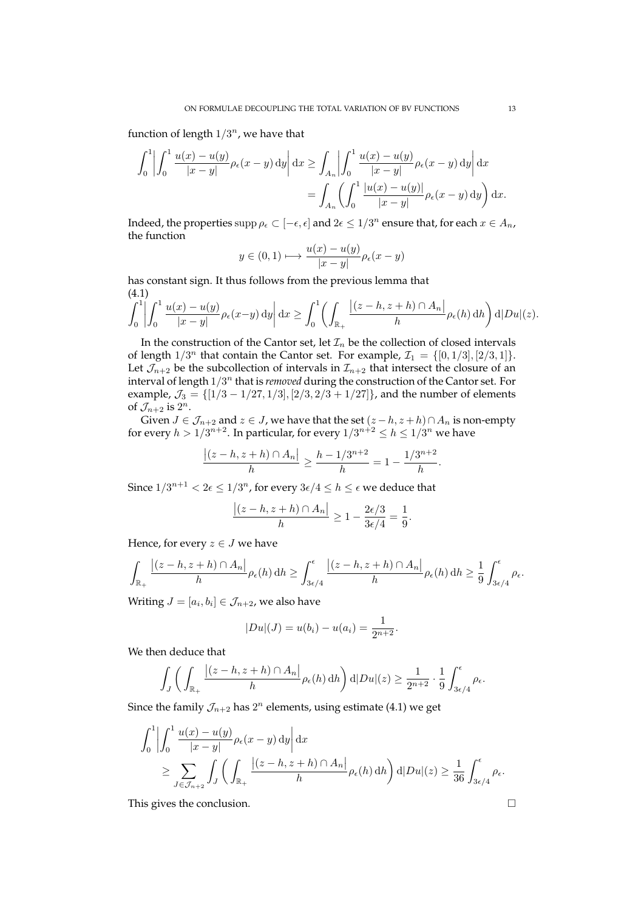function of length  $1/3^n$ , we have that

$$
\int_0^1 \left| \int_0^1 \frac{u(x) - u(y)}{|x - y|} \rho_{\epsilon}(x - y) dy \right| dx \ge \int_{A_n} \left| \int_0^1 \frac{u(x) - u(y)}{|x - y|} \rho_{\epsilon}(x - y) dy \right| dx
$$

$$
= \int_{A_n} \left( \int_0^1 \frac{|u(x) - u(y)|}{|x - y|} \rho_{\epsilon}(x - y) dy \right) dx.
$$

Indeed, the properties  $\sup p \rho_\epsilon \subset [-\epsilon,\epsilon]$  and  $2\epsilon \leq 1/3^n$  ensure that, for each  $x \in A_n$ , the function

$$
y \in (0,1) \longmapsto \frac{u(x) - u(y)}{|x - y|} \rho_{\epsilon}(x - y)
$$

has constant sign. It thus follows from the previous lemma that (4.1)

$$
\int_0^1 \left| \int_0^1 \frac{u(x) - u(y)}{|x - y|} \rho_{\epsilon}(x - y) dy \right| dx \ge \int_0^1 \left( \int_{\mathbb{R}_+} \frac{|(z - h, z + h) \cap A_n|}{h} \rho_{\epsilon}(h) dh \right) d|Du|(z).
$$

In the construction of the Cantor set, let  $\mathcal{I}_n$  be the collection of closed intervals of length  $1/3^n$  that contain the Cantor set. For example,  $\mathcal{I}_1 = \{[0, 1/3], [2/3, 1]\}.$ Let  $\mathcal{J}_{n+2}$  be the subcollection of intervals in  $\mathcal{I}_{n+2}$  that intersect the closure of an interval of length  $1/3^n$  that is *removed* during the construction of the Cantor set. For example,  $\mathcal{J}_3 = \{ [1/3 - 1/27, 1/3], [2/3, 2/3 + 1/27] \}$ , and the number of elements of  $\mathcal{J}_{n+2}$  is  $2^n$ .

Given  $J \in \mathcal{J}_{n+2}$  and  $z \in J$ , we have that the set  $(z - h, z + h) \cap A_n$  is non-empty for every  $h>1/3^{n+2}.$  In particular, for every  $1/3^{n+2}\leq h\leq 1/3^n$  we have

$$
\frac{|(z-h,z+h)\cap A_n|}{h} \ge \frac{h-1/3^{n+2}}{h} = 1 - \frac{1/3^{n+2}}{h}.
$$

Since  $1/3^{n+1} < 2\epsilon \leq 1/3^n$ , for every  $3\epsilon/4 \leq h \leq \epsilon$  we deduce that

$$
\frac{|(z-h, z+h) \cap A_n|}{h} \ge 1 - \frac{2\epsilon/3}{3\epsilon/4} = \frac{1}{9}.
$$

Hence, for every  $z \in J$  we have

$$
\int_{\mathbb{R}_+} \frac{|(z-h,z+h)\cap A_n|}{h} \rho_{\epsilon}(h) dh \ge \int_{3\epsilon/4}^{\epsilon} \frac{|(z-h,z+h)\cap A_n|}{h} \rho_{\epsilon}(h) dh \ge \frac{1}{9} \int_{3\epsilon/4}^{\epsilon} \rho_{\epsilon}.
$$

Writing  $J=[a_i,b_i]\in\mathcal{J}_{n+2}$ , we also have

$$
|Du|(J) = u(b_i) - u(a_i) = \frac{1}{2^{n+2}}.
$$

We then deduce that

$$
\int_J \left( \int_{\mathbb{R}_+} \frac{|(z-h, z+h) \cap A_n|}{h} \rho_{\epsilon}(h) dh \right) d|Du|(z) \geq \frac{1}{2^{n+2}} \cdot \frac{1}{9} \int_{3\epsilon/4}^{\epsilon} \rho_{\epsilon}.
$$

Since the family  $\mathcal{J}_{n+2}$  has  $2^n$  elements, using estimate (4.1) we get

$$
\int_0^1 \left| \int_0^1 \frac{u(x) - u(y)}{|x - y|} \rho_{\epsilon}(x - y) dy \right| dx
$$
  
\n
$$
\geq \sum_{J \in \mathcal{J}_{n+2}} \int_J \left( \int_{\mathbb{R}_+} \frac{|(z - h, z + h) \cap A_n|}{h} \rho_{\epsilon}(h) dh \right) d|Du|(z) \geq \frac{1}{36} \int_{3\epsilon/4}^{\epsilon} \rho_{\epsilon}.
$$

This gives the conclusion.  $\Box$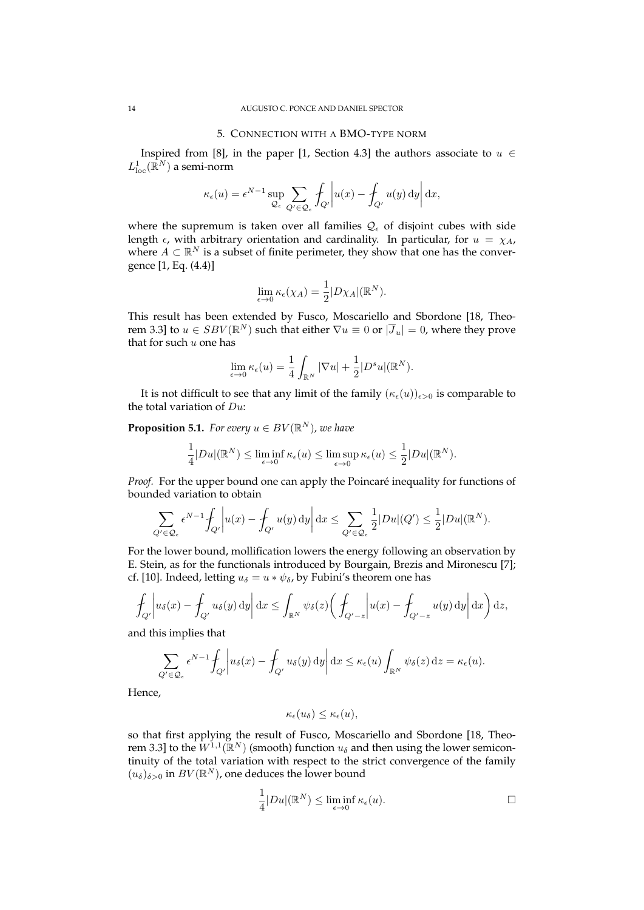## 5. CONNECTION WITH A BMO-TYPE NORM

Inspired from [8], in the paper [1, Section 4.3] the authors associate to  $u \in$  $L^1_{\mathrm{loc}}(\bar{\mathbb{R}}^N)$  a semi-norm

$$
\kappa_{\epsilon}(u) = \epsilon^{N-1} \sup_{\mathcal{Q}_{\epsilon}} \sum_{Q' \in \mathcal{Q}_{\epsilon}} \int_{Q'} \left| u(x) - \int_{Q'} u(y) \, \mathrm{d}y \right| \mathrm{d}x,
$$

where the supremum is taken over all families  $\mathcal{Q}_{\epsilon}$  of disjoint cubes with side length  $\epsilon$ , with arbitrary orientation and cardinality. In particular, for  $u = \chi_A$ , where  $A \subset \mathbb{R}^N$  is a subset of finite perimeter, they show that one has the convergence [1, Eq. (4.4)]

$$
\lim_{\epsilon \to 0} \kappa_{\epsilon}(\chi_A) = \frac{1}{2} |D \chi_A|(\mathbb{R}^N).
$$

This result has been extended by Fusco, Moscariello and Sbordone [18, Theorem 3.3] to  $u \in SBV(\mathbb{R}^N)$  such that either  $\nabla u \equiv 0$  or  $|\overline{J}_u| = 0$ , where they prove that for such  $u$  one has

$$
\lim_{\epsilon \to 0} \kappa_{\epsilon}(u) = \frac{1}{4} \int_{\mathbb{R}^N} |\nabla u| + \frac{1}{2} |D^s u| (\mathbb{R}^N).
$$

It is not difficult to see that any limit of the family  $(\kappa_{\epsilon}(u))_{\epsilon>0}$  is comparable to the total variation of  $Du$ :

**Proposition 5.1.** For every  $u \in BV(\mathbb{R}^N)$ , we have

$$
\frac{1}{4}|Du|(\mathbb{R}^N)\leq \liminf_{\epsilon\to 0} \kappa_\epsilon(u)\leq \limsup_{\epsilon\to 0} \kappa_\epsilon(u)\leq \frac{1}{2}|Du|(\mathbb{R}^N).
$$

*Proof.* For the upper bound one can apply the Poincaré inequality for functions of bounded variation to obtain

$$
\sum_{Q' \in \mathcal{Q}_{\epsilon}} \epsilon^{N-1} \int_{Q'} \left| u(x) - \int_{Q'} u(y) dy \right| dx \le \sum_{Q' \in \mathcal{Q}_{\epsilon}} \frac{1}{2} |Du|(Q') \le \frac{1}{2} |Du|(\mathbb{R}^N).
$$

For the lower bound, mollification lowers the energy following an observation by E. Stein, as for the functionals introduced by Bourgain, Brezis and Mironescu [7]; cf. [10]. Indeed, letting  $u_{\delta} = u * \psi_{\delta}$ , by Fubini's theorem one has

$$
\int_{Q'} \left| u_{\delta}(x) - \int_{Q'} u_{\delta}(y) dy \right| dx \le \int_{\mathbb{R}^N} \psi_{\delta}(z) \left( \int_{Q' - z} \left| u(x) - \int_{Q' - z} u(y) dy \right| dx \right) dz,
$$

and this implies that

$$
\sum_{Q' \in \mathcal{Q}_{\epsilon}} \epsilon^{N-1} \int_{Q'} \left| u_{\delta}(x) - \int_{Q'} u_{\delta}(y) \, dy \right| dx \leq \kappa_{\epsilon}(u) \int_{\mathbb{R}^N} \psi_{\delta}(z) \, dz = \kappa_{\epsilon}(u).
$$

Hence,

$$
\kappa_{\epsilon}(u_{\delta}) \leq \kappa_{\epsilon}(u),
$$

so that first applying the result of Fusco, Moscariello and Sbordone [18, Theorem 3.3] to the  $W^{1,1}(\mathbb{R}^N)$  (smooth) function  $u_\delta$  and then using the lower semicontinuity of the total variation with respect to the strict convergence of the family  $(u_\delta)_{\delta>0}$  in  $BV(\mathbb{R}^N)$ , one deduces the lower bound

$$
\frac{1}{4}|Du|(\mathbb{R}^N) \le \liminf_{\epsilon \to 0} \kappa_{\epsilon}(u).
$$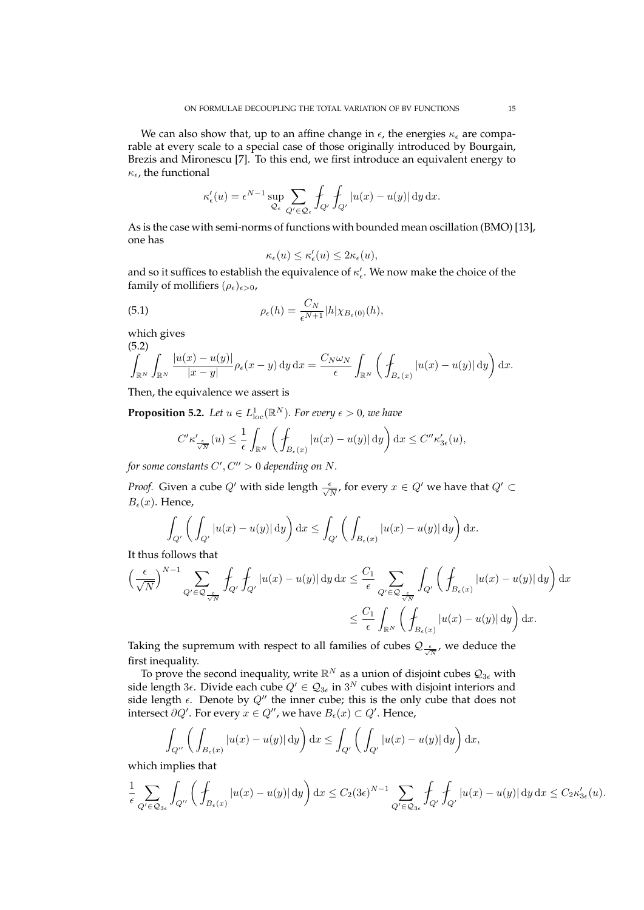We can also show that, up to an affine change in  $\epsilon$ , the energies  $\kappa_{\epsilon}$  are comparable at every scale to a special case of those originally introduced by Bourgain, Brezis and Mironescu [7]. To this end, we first introduce an equivalent energy to  $\kappa_{\epsilon}$ , the functional

$$
\kappa'_{\epsilon}(u) = \epsilon^{N-1} \sup_{\mathcal{Q}_{\epsilon}} \sum_{Q' \in \mathcal{Q}_{\epsilon}} \int_{Q'} \int_{Q'} |u(x) - u(y)| \, dy \, dx.
$$

As is the case with semi-norms of functions with bounded mean oscillation (BMO) [13], one has

$$
\kappa_\epsilon(u)\leq \kappa'_\epsilon(u)\leq 2\kappa_\epsilon(u),
$$

and so it suffices to establish the equivalence of  $\kappa'_{\epsilon}$ . We now make the choice of the family of mollifiers  $(\rho_{\epsilon})_{\epsilon>0}$ ,

(5.1) 
$$
\rho_{\epsilon}(h) = \frac{C_N}{\epsilon^{N+1}} |h| \chi_{B_{\epsilon}(0)}(h),
$$

which gives

$$
\int_{\mathbb{R}^N} \int_{\mathbb{R}^N} \frac{|u(x) - u(y)|}{|x - y|} \rho_{\epsilon}(x - y) \, dy \, dx = \frac{C_N \omega_N}{\epsilon} \int_{\mathbb{R}^N} \left( \int_{B_{\epsilon}(x)} |u(x) - u(y)| \, dy \right) dx.
$$

Then, the equivalence we assert is

**Proposition 5.2.** Let  $u \in L^1_{\text{loc}}(\mathbb{R}^N)$ . For every  $\epsilon > 0$ , we have

$$
C' \kappa'_{\frac{\epsilon}{\sqrt{N}}}(u) \leq \frac{1}{\epsilon} \int_{\mathbb{R}^N} \left( \int_{B_{\epsilon}(x)} |u(x) - u(y)| \, dy \right) dx \leq C'' \kappa'_{3\epsilon}(u),
$$

for some constants  $C', C'' > 0$  depending on N.

*Proof.* Given a cube  $Q'$  with side length  $\frac{\epsilon}{\sqrt{N}}$ , for every  $x \in Q'$  we have that  $Q' \subset$  $B_{\epsilon}(x)$ . Hence,

$$
\int_{Q'} \left( \int_{Q'} |u(x) - u(y)| \, dy \right) dx \le \int_{Q'} \left( \int_{B_{\epsilon}(x)} |u(x) - u(y)| \, dy \right) dx.
$$

It thus follows that

$$
\left(\frac{\epsilon}{\sqrt{N}}\right)^{N-1} \sum_{Q' \in \mathcal{Q}_{\frac{\epsilon}{\sqrt{N}}}} \int_{Q'} \int_{Q'} |u(x) - u(y)| \, dy \, dx \leq \frac{C_1}{\epsilon} \sum_{Q' \in \mathcal{Q}_{\frac{\epsilon}{\sqrt{N}}}} \int_{Q'} \left(\int_{B_{\epsilon}(x)} |u(x) - u(y)| \, dy\right) dx
$$
  

$$
\leq \frac{C_1}{\epsilon} \int_{\mathbb{R}^N} \left(\int_{B_{\epsilon}(x)} |u(x) - u(y)| \, dy\right) dx.
$$

Taking the supremum with respect to all families of cubes  $\mathcal{Q}_{\frac{\epsilon}{\sqrt{N}}}$ , we deduce the first inequality.

To prove the second inequality, write  $\mathbb{R}^N$  as a union of disjoint cubes  $\mathcal{Q}_{3\epsilon}$  with side length 3 $\epsilon$ . Divide each cube  $Q'\in\mathcal{Q}_{3\epsilon}$  in  $3^N$  cubes with disjoint interiors and side length  $\epsilon$ . Denote by  $Q''$  the inner cube; this is the only cube that does not intersect  $\partial Q'$ . For every  $x \in Q''$ , we have  $B_{\epsilon}(x) \subset Q'$ . Hence,

$$
\int_{Q''}\left(\int_{B_{\epsilon}(x)}|u(x)-u(y)|\,dy\right)\mathrm{d}x\leq \int_{Q'}\left(\int_{Q'}|u(x)-u(y)|\,dy\right)\mathrm{d}x,
$$

which implies that

$$
\frac{1}{\epsilon} \sum_{Q' \in \mathcal{Q}_{3\epsilon}} \int_{Q''} \left( \oint_{B_{\epsilon}(x)} |u(x) - u(y)| \, \mathrm{d}y \right) \mathrm{d}x \leq C_2 (3\epsilon)^{N-1} \sum_{Q' \in \mathcal{Q}_{3\epsilon}} \oint_{Q'} \oint_{Q'} |u(x) - u(y)| \, \mathrm{d}y \, \mathrm{d}x \leq C_2 \kappa'_{3\epsilon}(u).
$$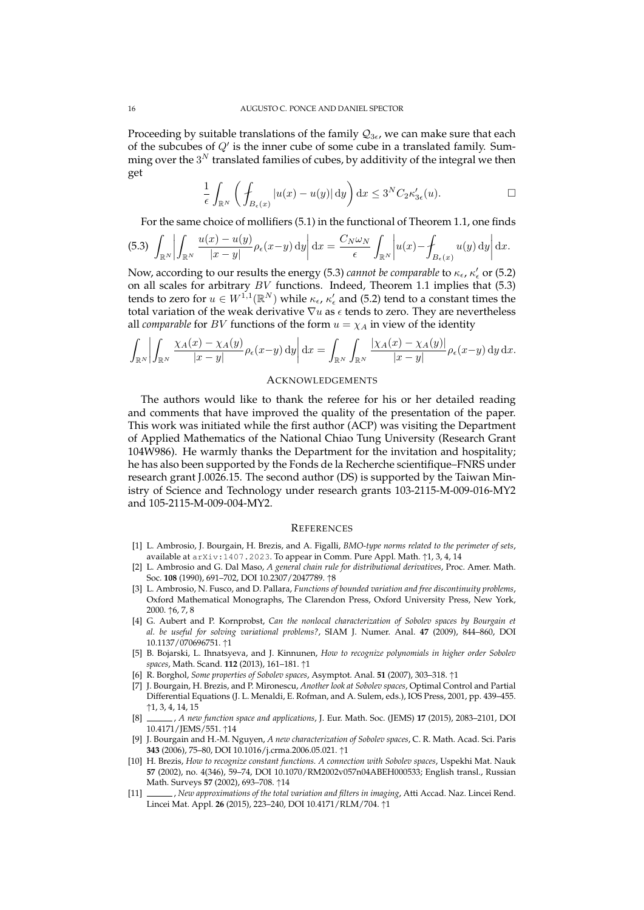Proceeding by suitable translations of the family  $\mathcal{Q}_{3\epsilon}$ , we can make sure that each of the subcubes of  $Q'$  is the inner cube of some cube in a translated family. Summing over the  $3^N$  translated families of cubes, by additivity of the integral we then get

$$
\frac{1}{\epsilon} \int_{\mathbb{R}^N} \left( \int_{B_{\epsilon}(x)} |u(x) - u(y)| \, \mathrm{d}y \right) \mathrm{d}x \le 3^N C_2 \kappa'_{3\epsilon}(u). \qquad \qquad \Box
$$

For the same choice of mollifiers (5.1) in the functional of Theorem 1.1, one finds

$$
(5.3) \int_{\mathbb{R}^N} \left| \int_{\mathbb{R}^N} \frac{u(x) - u(y)}{|x - y|} \rho_{\epsilon}(x - y) \, \mathrm{d}y \right| \mathrm{d}x = \frac{C_N \omega_N}{\epsilon} \int_{\mathbb{R}^N} \left| u(x) - \int_{B_{\epsilon}(x)} u(y) \, \mathrm{d}y \right| \mathrm{d}x.
$$

Now, according to our results the energy (5.3) *cannot be comparable* to  $\kappa_{\epsilon}$ ,  $\kappa'_{\epsilon}$  or (5.2) on all scales for arbitrary  $BV$  functions. Indeed, Theorem 1.1 implies that (5.3) tends to zero for  $u \in W^{1,1}(\mathbb{R}^N)$  while  $\kappa_{\epsilon}$ ,  $\kappa'_{\epsilon}$  and (5.2) tend to a constant times the total variation of the weak derivative  $\nabla u$  as  $\epsilon$  tends to zero. They are nevertheless all *comparable* for *BV* functions of the form  $u = \chi_A$  in view of the identity

$$
\int_{\mathbb{R}^N} \left| \int_{\mathbb{R}^N} \frac{\chi_A(x) - \chi_A(y)}{|x - y|} \rho_{\epsilon}(x - y) \, dy \right| dx = \int_{\mathbb{R}^N} \int_{\mathbb{R}^N} \frac{|\chi_A(x) - \chi_A(y)|}{|x - y|} \rho_{\epsilon}(x - y) \, dy \, dx.
$$

### ACKNOWLEDGEMENTS

The authors would like to thank the referee for his or her detailed reading and comments that have improved the quality of the presentation of the paper. This work was initiated while the first author (ACP) was visiting the Department of Applied Mathematics of the National Chiao Tung University (Research Grant 104W986). He warmly thanks the Department for the invitation and hospitality; he has also been supported by the Fonds de la Recherche scientifique–FNRS under research grant J.0026.15. The second author (DS) is supported by the Taiwan Ministry of Science and Technology under research grants 103-2115-M-009-016-MY2 and 105-2115-M-009-004-MY2.

## **REFERENCES**

- [1] L. Ambrosio, J. Bourgain, H. Brezis, and A. Figalli, *BMO-type norms related to the perimeter of sets*, available at arXiv:1407.2023. To appear in Comm. Pure Appl. Math. ↑1, 3, 4, 14
- [2] L. Ambrosio and G. Dal Maso, *A general chain rule for distributional derivatives*, Proc. Amer. Math. Soc. **108** (1990), 691–702, DOI 10.2307/2047789. ↑8
- [3] L. Ambrosio, N. Fusco, and D. Pallara, *Functions of bounded variation and free discontinuity problems*, Oxford Mathematical Monographs, The Clarendon Press, Oxford University Press, New York, 2000. ↑6, 7, 8
- [4] G. Aubert and P. Kornprobst, *Can the nonlocal characterization of Sobolev spaces by Bourgain et al. be useful for solving variational problems?*, SIAM J. Numer. Anal. **47** (2009), 844–860, DOI 10.1137/070696751. ↑1
- [5] B. Bojarski, L. Ihnatsyeva, and J. Kinnunen, *How to recognize polynomials in higher order Sobolev spaces*, Math. Scand. **112** (2013), 161–181. ↑1
- [6] R. Borghol, *Some properties of Sobolev spaces*, Asymptot. Anal. **51** (2007), 303–318. ↑1
- [7] J. Bourgain, H. Brezis, and P. Mironescu, *Another look at Sobolev spaces*, Optimal Control and Partial Differential Equations (J. L. Menaldi, E. Rofman, and A. Sulem, eds.), IOS Press, 2001, pp. 439–455. ↑1, 3, 4, 14, 15
- [8] , *A new function space and applications*, J. Eur. Math. Soc. (JEMS) **17** (2015), 2083–2101, DOI 10.4171/JEMS/551. ↑14
- [9] J. Bourgain and H.-M. Nguyen, *A new characterization of Sobolev spaces*, C. R. Math. Acad. Sci. Paris **343** (2006), 75–80, DOI 10.1016/j.crma.2006.05.021. ↑1
- [10] H. Brezis, *How to recognize constant functions. A connection with Sobolev spaces*, Uspekhi Mat. Nauk **57** (2002), no. 4(346), 59–74, DOI 10.1070/RM2002v057n04ABEH000533; English transl., Russian Math. Surveys **57** (2002), 693–708. ↑14
- [11] , *New approximations of the total variation and filters in imaging*, Atti Accad. Naz. Lincei Rend. Lincei Mat. Appl. **26** (2015), 223–240, DOI 10.4171/RLM/704. ↑1